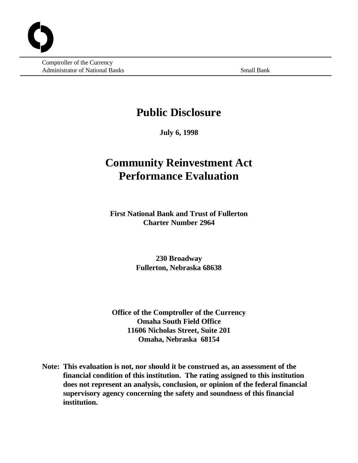Comptroller of the Currency Administrator of National Banks Small Banks Small Bank

# **Public Disclosure**

**July 6, 1998**

# **Community Reinvestment Act Performance Evaluation**

**First National Bank and Trust of Fullerton Charter Number 2964**

> **230 Broadway Fullerton, Nebraska 68638**

**Office of the Comptroller of the Currency Omaha South Field Office 11606 Nicholas Street, Suite 201 Omaha, Nebraska 68154**

**Note: This evaluation is not, nor should it be construed as, an assessment of the financial condition of this institution. The rating assigned to this institution does not represent an analysis, conclusion, or opinion of the federal financial supervisory agency concerning the safety and soundness of this financial institution.**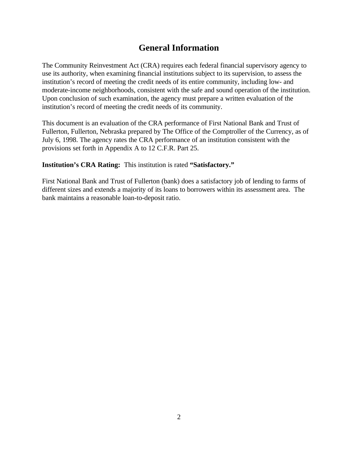# **General Information**

The Community Reinvestment Act (CRA) requires each federal financial supervisory agency to use its authority, when examining financial institutions subject to its supervision, to assess the institution's record of meeting the credit needs of its entire community, including low- and moderate-income neighborhoods, consistent with the safe and sound operation of the institution. Upon conclusion of such examination, the agency must prepare a written evaluation of the institution's record of meeting the credit needs of its community.

This document is an evaluation of the CRA performance of First National Bank and Trust of Fullerton, Fullerton, Nebraska prepared by The Office of the Comptroller of the Currency, as of July 6, 1998. The agency rates the CRA performance of an institution consistent with the provisions set forth in Appendix A to 12 C.F.R. Part 25.

**Institution's CRA Rating:** This institution is rated **"Satisfactory."**

First National Bank and Trust of Fullerton (bank) does a satisfactory job of lending to farms of different sizes and extends a majority of its loans to borrowers within its assessment area. The bank maintains a reasonable loan-to-deposit ratio.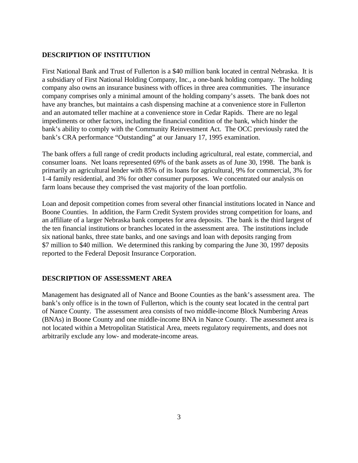#### **DESCRIPTION OF INSTITUTION**

First National Bank and Trust of Fullerton is a \$40 million bank located in central Nebraska. It is a subsidiary of First National Holding Company, Inc., a one-bank holding company. The holding company also owns an insurance business with offices in three area communities. The insurance company comprises only a minimal amount of the holding company's assets. The bank does not have any branches, but maintains a cash dispensing machine at a convenience store in Fullerton and an automated teller machine at a convenience store in Cedar Rapids. There are no legal impediments or other factors, including the financial condition of the bank, which hinder the bank's ability to comply with the Community Reinvestment Act. The OCC previously rated the bank's CRA performance "Outstanding" at our January 17, 1995 examination.

The bank offers a full range of credit products including agricultural, real estate, commercial, and consumer loans. Net loans represented 69% of the bank assets as of June 30, 1998. The bank is primarily an agricultural lender with 85% of its loans for agricultural, 9% for commercial, 3% for 1-4 family residential, and 3% for other consumer purposes. We concentrated our analysis on farm loans because they comprised the vast majority of the loan portfolio.

Loan and deposit competition comes from several other financial institutions located in Nance and Boone Counties. In addition, the Farm Credit System provides strong competition for loans, and an affiliate of a larger Nebraska bank competes for area deposits. The bank is the third largest of the ten financial institutions or branches located in the assessment area. The institutions include six national banks, three state banks, and one savings and loan with deposits ranging from \$7 million to \$40 million. We determined this ranking by comparing the June 30, 1997 deposits reported to the Federal Deposit Insurance Corporation.

# **DESCRIPTION OF ASSESSMENT AREA**

Management has designated all of Nance and Boone Counties as the bank's assessment area. The bank's only office is in the town of Fullerton, which is the county seat located in the central part of Nance County. The assessment area consists of two middle-income Block Numbering Areas (BNAs) in Boone County and one middle-income BNA in Nance County. The assessment area is not located within a Metropolitan Statistical Area, meets regulatory requirements, and does not arbitrarily exclude any low- and moderate-income areas.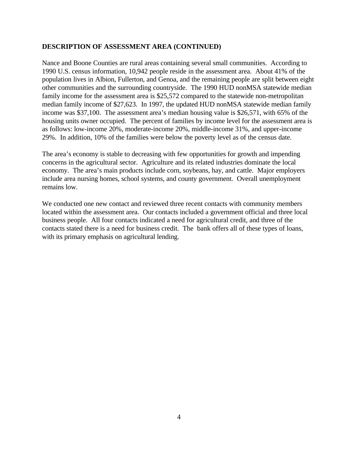#### **DESCRIPTION OF ASSESSMENT AREA (CONTINUED)**

Nance and Boone Counties are rural areas containing several small communities. According to 1990 U.S. census information, 10,942 people reside in the assessment area. About 41% of the population lives in Albion, Fullerton, and Genoa, and the remaining people are split between eight other communities and the surrounding countryside. The 1990 HUD nonMSA statewide median family income for the assessment area is \$25,572 compared to the statewide non-metropolitan median family income of \$27,623. In 1997, the updated HUD nonMSA statewide median family income was \$37,100. The assessment area's median housing value is \$26,571, with 65% of the housing units owner occupied. The percent of families by income level for the assessment area is as follows: low-income 20%, moderate-income 20%, middle-income 31%, and upper-income 29%. In addition, 10% of the families were below the poverty level as of the census date.

The area's economy is stable to decreasing with few opportunities for growth and impending concerns in the agricultural sector. Agriculture and its related industries dominate the local economy. The area's main products include corn, soybeans, hay, and cattle. Major employers include area nursing homes, school systems, and county government. Overall unemployment remains low.

We conducted one new contact and reviewed three recent contacts with community members located within the assessment area. Our contacts included a government official and three local business people. All four contacts indicated a need for agricultural credit, and three of the contacts stated there is a need for business credit. The bank offers all of these types of loans, with its primary emphasis on agricultural lending.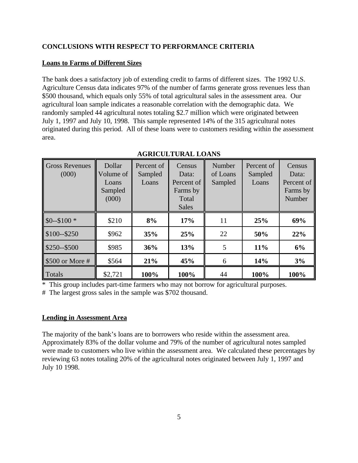## **CONCLUSIONS WITH RESPECT TO PERFORMANCE CRITERIA**

#### **Loans to Farms of Different Sizes**

The bank does a satisfactory job of extending credit to farms of different sizes. The 1992 U.S. Agriculture Census data indicates 97% of the number of farms generate gross revenues less than \$500 thousand, which equals only 55% of total agricultural sales in the assessment area. Our agricultural loan sample indicates a reasonable correlation with the demographic data. We randomly sampled 44 agricultural notes totaling \$2.7 million which were originated between July 1, 1997 and July 10, 1998. This sample represented 14% of the 315 agricultural notes originated during this period. All of these loans were to customers residing within the assessment area.

| Gross Revenues<br>(000) | Dollar<br>Volume of<br>Loans<br>Sampled<br>(000) | Percent of<br>Sampled<br>Loans | Census<br>Data:<br>Percent of<br>Farms by<br>Total<br><b>Sales</b> | Number<br>of Loans<br>Sampled | Percent of<br>Sampled<br>Loans | Census<br>Data:<br>Percent of<br>Farms by<br>Number |
|-------------------------|--------------------------------------------------|--------------------------------|--------------------------------------------------------------------|-------------------------------|--------------------------------|-----------------------------------------------------|
| $$0 - $100$ *           | \$210                                            | 8%                             | 17%                                                                | 11                            | 25%                            | 69%                                                 |
| $$100 - $250$           | \$962                                            | 35%                            | 25%                                                                | 22                            | 50%                            | 22%                                                 |
| \$250--\$500            | \$985                                            | 36%                            | 13%                                                                | 5                             | 11%                            | 6%                                                  |
| \$500 or More #         | \$564                                            | 21%                            | 45%                                                                | 6                             | 14%                            | 3%                                                  |
| Totals                  | \$2,721                                          | 100%                           | 100%                                                               | 44                            | 100%                           | 100%                                                |

#### **AGRICULTURAL LOANS**

\* This group includes part-time farmers who may not borrow for agricultural purposes.

# The largest gross sales in the sample was \$702 thousand.

#### **Lending in Assessment Area**

The majority of the bank's loans are to borrowers who reside within the assessment area. Approximately 83% of the dollar volume and 79% of the number of agricultural notes sampled were made to customers who live within the assessment area. We calculated these percentages by reviewing 63 notes totaling 20% of the agricultural notes originated between July 1, 1997 and July 10 1998.